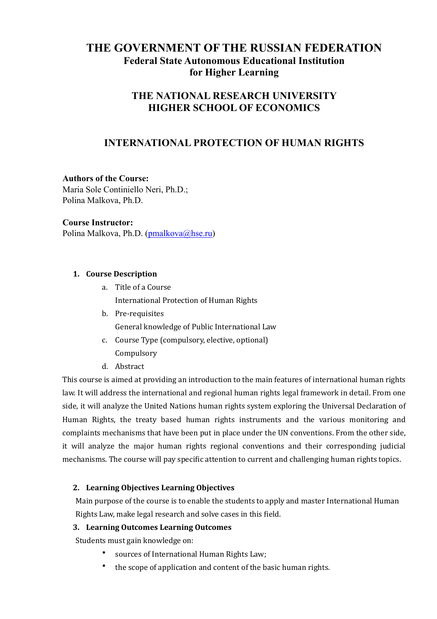# **THE GOVERNMENT OF THE RUSSIAN FEDERATION Federal State Autonomous Educational Institution for Higher Learning**

# **THE NATIONAL RESEARCH UNIVERSITY HIGHER SCHOOL OF ECONOMICS**

# **INTERNATIONAL PROTECTION OF HUMAN RIGHTS**

## **Authors of the Course:**

Maria Sole Continiello Neri, Ph.D.; Polina Malkova, Ph.D.

#### **Course Instructor:**

Polina Malkova, Ph.D. ([pmalkova@hse.ru](mailto:pmalkova@hse.ru))

### 1. **Course Description**

- a. Title of a Course International Protection of Human Rights
- b. Pre-requisites General knowledge of Public International Law
- c. Course Type (compulsory, elective, optional) Compulsory
- d. Abstract

This course is aimed at providing an introduction to the main features of international human rights law. It will address the international and regional human rights legal framework in detail. From one side, it will analyze the United Nations human rights system exploring the Universal Declaration of Human Rights, the treaty based human rights instruments and the various monitoring and complaints mechanisms that have been put in place under the UN conventions. From the other side, it will analyze the major human rights regional conventions and their corresponding judicial mechanisms. The course will pay specific attention to current and challenging human rights topics.

## 2. Learning Objectives Learning Objectives

Main purpose of the course is to enable the students to apply and master International Human Rights Law, make legal research and solve cases in this field.

#### **3. Learning Outcomes Learning Outcomes**

Students must gain knowledge on:

- sources of International Human Rights Law;
- $\bullet$  the scope of application and content of the basic human rights.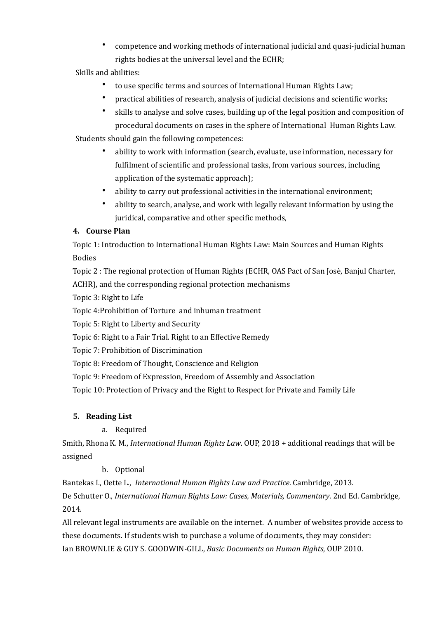• competence and working methods of international judicial and quasi-judicial human rights bodies at the universal level and the ECHR;

## Skills and abilities:

- to use specific terms and sources of International Human Rights Law:
- practical abilities of research, analysis of judicial decisions and scientific works;
- skills to analyse and solve cases, building up of the legal position and composition of procedural documents on cases in the sphere of International Human Rights Law.

Students should gain the following competences:

- ability to work with information (search, evaluate, use information, necessary for fulfilment of scientific and professional tasks, from various sources, including application of the systematic approach);
- ability to carry out professional activities in the international environment:
- ability to search, analyse, and work with legally relevant information by using the juridical, comparative and other specific methods,

## **4. Course Plan**

Topic 1: Introduction to International Human Rights Law: Main Sources and Human Rights Bodies 

Topic 2 : The regional protection of Human Rights (ECHR, OAS Pact of San Josè, Banjul Charter,

ACHR), and the corresponding regional protection mechanisms

Topic 3: Right to Life

Topic 4: Prohibition of Torture and inhuman treatment

Topic 5: Right to Liberty and Security

Topic 6: Right to a Fair Trial. Right to an Effective Remedy

Topic 7: Prohibition of Discrimination 

Topic 8: Freedom of Thought, Conscience and Religion

Topic 9: Freedom of Expression, Freedom of Assembly and Association

Topic 10: Protection of Privacy and the Right to Respect for Private and Family Life

## **5.** Reading List

a. Required 

Smith, Rhona K. M., *International Human Rights Law*. OUP, 2018 + additional readings that will be assigned 

## b. Optional

Bantekas I., Oette L., *International Human Rights Law and Practice*. Cambridge, 2013.

De Schutter O., *International Human Rights Law: Cases, Materials, Commentary*. 2nd Ed. Cambridge, 2014. 

All relevant legal instruments are available on the internet. A number of websites provide access to these documents. If students wish to purchase a volume of documents, they may consider: Ian BROWNLIE & GUY S. GOODWIN-GILL, *Basic Documents on Human Rights*, OUP 2010.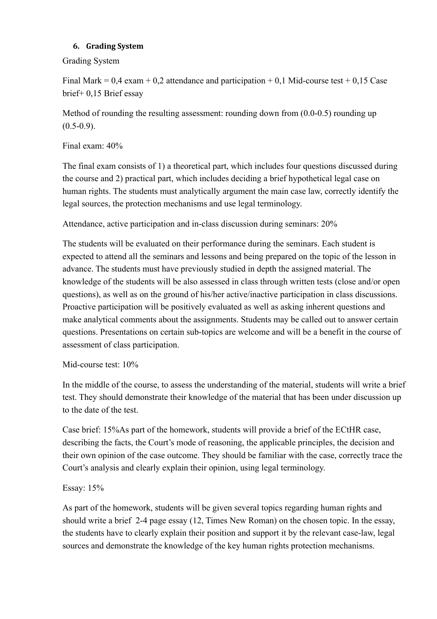## **6. Grading System**

Grading System

Final Mark  $= 0.4$  exam  $+ 0.2$  attendance and participation  $+ 0.1$  Mid-course test  $+ 0.15$  Case brief+ 0,15 Brief essay

Method of rounding the resulting assessment: rounding down from (0.0-0.5) rounding up  $(0.5-0.9)$ .

Final exam: 40%

The final exam consists of 1) a theoretical part, which includes four questions discussed during the course and 2) practical part, which includes deciding a brief hypothetical legal case on human rights. The students must analytically argument the main case law, correctly identify the legal sources, the protection mechanisms and use legal terminology.

Attendance, active participation and in-class discussion during seminars: 20%

The students will be evaluated on their performance during the seminars. Each student is expected to attend all the seminars and lessons and being prepared on the topic of the lesson in advance. The students must have previously studied in depth the assigned material. The knowledge of the students will be also assessed in class through written tests (close and/or open questions), as well as on the ground of his/her active/inactive participation in class discussions. Proactive participation will be positively evaluated as well as asking inherent questions and make analytical comments about the assignments. Students may be called out to answer certain questions. Presentations on certain sub-topics are welcome and will be a benefit in the course of assessment of class participation.

Mid-course test: 10%

In the middle of the course, to assess the understanding of the material, students will write a brief test. They should demonstrate their knowledge of the material that has been under discussion up to the date of the test.

Case brief: 15%As part of the homework, students will provide a brief of the ECtHR case, describing the facts, the Court's mode of reasoning, the applicable principles, the decision and their own opinion of the case outcome. They should be familiar with the case, correctly trace the Court's analysis and clearly explain their opinion, using legal terminology.

## Essay: 15%

As part of the homework, students will be given several topics regarding human rights and should write a brief 2-4 page essay (12, Times New Roman) on the chosen topic. In the essay, the students have to clearly explain their position and support it by the relevant case-law, legal sources and demonstrate the knowledge of the key human rights protection mechanisms.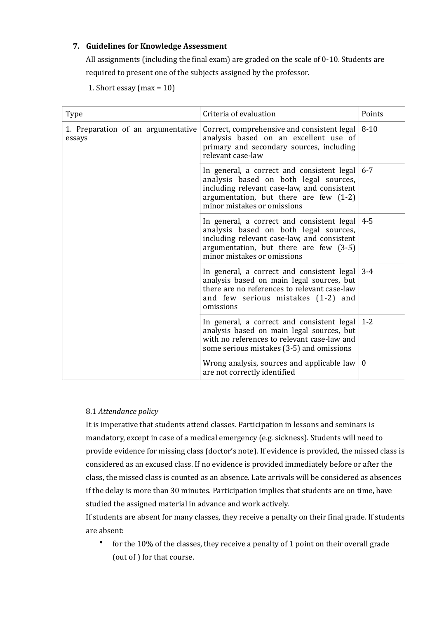### **7.** Guidelines for Knowledge Assessment

All assignments (including the final exam) are graded on the scale of  $0-10$ . Students are required to present one of the subjects assigned by the professor.

1. Short essay  $(max = 10)$ 

| <b>Type</b>                                  | Criteria of evaluation                                                                                                                                                                                      | Points   |
|----------------------------------------------|-------------------------------------------------------------------------------------------------------------------------------------------------------------------------------------------------------------|----------|
| 1. Preparation of an argumentative<br>essays | Correct, comprehensive and consistent legal $ 8-10 $<br>analysis based on an excellent use of<br>primary and secondary sources, including<br>relevant case-law                                              |          |
|                                              | In general, a correct and consistent legal<br>analysis based on both legal sources,<br>including relevant case-law, and consistent<br>argumentation, but there are few (1-2)<br>minor mistakes or omissions | $6 - 7$  |
|                                              | In general, a correct and consistent legal<br>analysis based on both legal sources,<br>including relevant case-law, and consistent<br>argumentation, but there are few (3-5)<br>minor mistakes or omissions | $4 - 5$  |
|                                              | In general, a correct and consistent legal<br>analysis based on main legal sources, but<br>there are no references to relevant case-law<br>and few serious mistakes (1-2) and<br>omissions                  | $3 - 4$  |
|                                              | In general, a correct and consistent legal<br>analysis based on main legal sources, but<br>with no references to relevant case-law and<br>some serious mistakes (3-5) and omissions                         | $1 - 2$  |
|                                              | Wrong analysis, sources and applicable law<br>are not correctly identified                                                                                                                                  | $\theta$ |

#### 8.1 *Attendance policy*

It is imperative that students attend classes. Participation in lessons and seminars is mandatory, except in case of a medical emergency (e.g. sickness). Students will need to provide evidence for missing class (doctor's note). If evidence is provided, the missed class is considered as an excused class. If no evidence is provided immediately before or after the class, the missed class is counted as an absence. Late arrivals will be considered as absences if the delay is more than 30 minutes. Participation implies that students are on time, have studied the assigned material in advance and work actively.

If students are absent for many classes, they receive a penalty on their final grade. If students are absent: 

• for the  $10\%$  of the classes, they receive a penalty of 1 point on their overall grade (out of ) for that course.